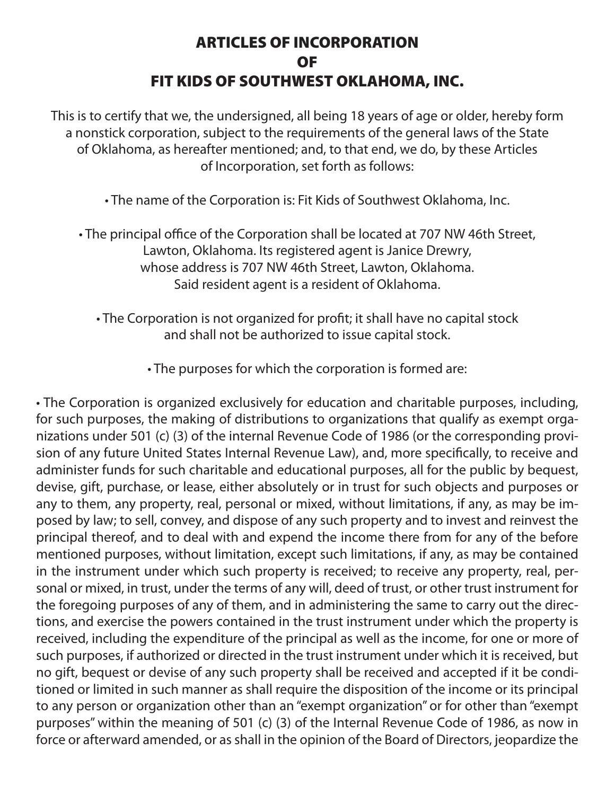## ARTICLES OF INCORPORATION OF FIT KIDS OF SOUTHWEST OKLAHOMA, INC.

This is to certify that we, the undersigned, all being 18 years of age or older, hereby form a nonstick corporation, subject to the requirements of the general laws of the State of Oklahoma, as hereafter mentioned; and, to that end, we do, by these Articles of Incorporation, set forth as follows:

• The name of the Corporation is: Fit Kids of Southwest Oklahoma, Inc.

• The principal office of the Corporation shall be located at 707 NW 46th Street, Lawton, Oklahoma. Its registered agent is Janice Drewry, whose address is 707 NW 46th Street, Lawton, Oklahoma. Said resident agent is a resident of Oklahoma.

• The Corporation is not organized for profit; it shall have no capital stock and shall not be authorized to issue capital stock.

• The purposes for which the corporation is formed are:

• The Corporation is organized exclusively for education and charitable purposes, including, for such purposes, the making of distributions to organizations that qualify as exempt organizations under 501 (c) (3) of the internal Revenue Code of 1986 (or the corresponding provision of any future United States Internal Revenue Law), and, more specifically, to receive and administer funds for such charitable and educational purposes, all for the public by bequest, devise, gift, purchase, or lease, either absolutely or in trust for such objects and purposes or any to them, any property, real, personal or mixed, without limitations, if any, as may be imposed by law; to sell, convey, and dispose of any such property and to invest and reinvest the principal thereof, and to deal with and expend the income there from for any of the before mentioned purposes, without limitation, except such limitations, if any, as may be contained in the instrument under which such property is received; to receive any property, real, personal or mixed, in trust, under the terms of any will, deed of trust, or other trust instrument for the foregoing purposes of any of them, and in administering the same to carry out the directions, and exercise the powers contained in the trust instrument under which the property is received, including the expenditure of the principal as well as the income, for one or more of such purposes, if authorized or directed in the trust instrument under which it is received, but no gift, bequest or devise of any such property shall be received and accepted if it be conditioned or limited in such manner as shall require the disposition of the income or its principal to any person or organization other than an "exempt organization" or for other than "exempt purposes" within the meaning of 501 (c) (3) of the Internal Revenue Code of 1986, as now in force or afterward amended, or as shall in the opinion of the Board of Directors, jeopardize the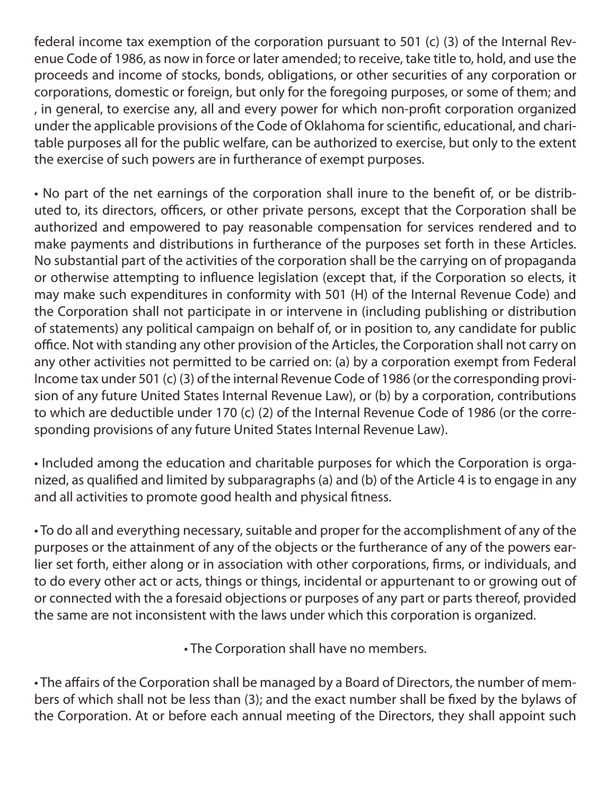federal income tax exemption of the corporation pursuant to 501 (c) (3) of the Internal Revenue Code of 1986, as now in force or later amended; to receive, take title to, hold, and use the proceeds and income of stocks, bonds, obligations, or other securities of any corporation or corporations, domestic or foreign, but only for the foregoing purposes, or some of them; and , in general, to exercise any, all and every power for which non-profit corporation organized under the applicable provisions of the Code of Oklahoma for scientific, educational, and charitable purposes all for the public welfare, can be authorized to exercise, but only to the extent the exercise of such powers are in furtherance of exempt purposes.

• No part of the net earnings of the corporation shall inure to the benefit of, or be distributed to, its directors, officers, or other private persons, except that the Corporation shall be authorized and empowered to pay reasonable compensation for services rendered and to make payments and distributions in furtherance of the purposes set forth in these Articles. No substantial part of the activities of the corporation shall be the carrying on of propaganda or otherwise attempting to influence legislation (except that, if the Corporation so elects, it may make such expenditures in conformity with 501 (H) of the Internal Revenue Code) and the Corporation shall not participate in or intervene in (including publishing or distribution of statements) any political campaign on behalf of, or in position to, any candidate for public office. Not with standing any other provision of the Articles, the Corporation shall not carry on any other activities not permitted to be carried on: (a) by a corporation exempt from Federal Income tax under 501 (c) (3) of the internal Revenue Code of 1986 (or the corresponding provision of any future United States Internal Revenue Law), or (b) by a corporation, contributions to which are deductible under 170 (c) (2) of the Internal Revenue Code of 1986 (or the corresponding provisions of any future United States Internal Revenue Law).

• Included among the education and charitable purposes for which the Corporation is organized, as qualified and limited by subparagraphs (a) and (b) of the Article 4 is to engage in any and all activities to promote good health and physical fitness.

• To do all and everything necessary, suitable and proper for the accomplishment of any of the purposes or the attainment of any of the objects or the furtherance of any of the powers earlier set forth, either along or in association with other corporations, firms, or individuals, and to do every other act or acts, things or things, incidental or appurtenant to or growing out of or connected with the a foresaid objections or purposes of any part or parts thereof, provided the same are not inconsistent with the laws under which this corporation is organized.

• The Corporation shall have no members.

• The affairs of the Corporation shall be managed by a Board of Directors, the number of members of which shall not be less than (3); and the exact number shall be fixed by the bylaws of the Corporation. At or before each annual meeting of the Directors, they shall appoint such